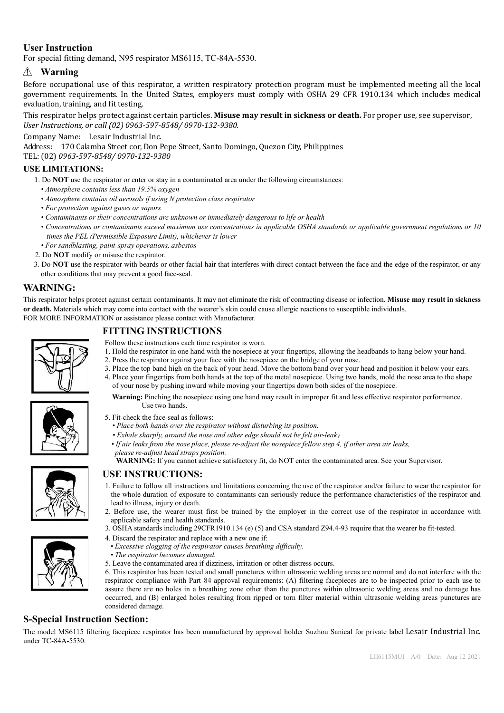## **User Instruction**

For special fitting demand, N95 respirator MS6115, TC-84A-5530.

# **Warning**

Before occupational use of this respirator, a written respiratory protection program must be implemented meeting all the local government requirements. In the United States, employers must comply with OSHA 29 CFR 1910.134 which includes medical evaluation, training, and fit testing.

This respirator helps protect against certain particles. **Misuse may result in sickness or death.** For proper use, see supervisor, *User Instructions, or call (02) 0963-597-8548/ 0970-132-9380.* 

Company Name: Lesair Industrial Inc.

Address: 170 Calamba Street cor, Don Pepe Street, Santo Domingo, Quezon City, Philippines

TEL: (02) *0963-597-8548/ 0970-132-9380*

#### **USE LIMITATIONS:**

- 1. Do **NOT** use the respirator or enter or stay in a contaminated area under the following circumstances:
	- *• Atmosphere contains less than 19.5% oxygen*
	- *• Atmosphere contains oil aerosols if using N protection class respirator*
	- *For protection against gases or vapors*
	- *Contaminants or their concentrations are unknown or immediately dangerous to life or health*
	- *• Concentrations or contaminants exceed maximum use concentrations in applicable OSHA standards or applicable government regulations or 10 times the PEL (Permissible Exposure Limit), whichever is lower*
	- *For sandblasting, paint-spray operations, asbestos*
- 2. Do **NOT** modify or misuse the respirator.
- 3. Do **NOT** use the respirator with beards or other facial hair that interferes with direct contact between the face and the edge of the respirator, or any other conditions that may prevent a good face-seal.

## **WARNING:**

This respirator helps protect against certain contaminants. It may not eliminate the risk of contracting disease or infection. **Misuse may result in sickness or death.** Materials which may come into contact with the wearer's skin could cause allergic reactions to susceptible individuals. FOR MORE INFORMATION or assistance please contact with Manufacturer.

## **FITTING INSTRUCTIONS**

Use two hands.

*please re-adjust head straps position.*

- Follow these instructions each time respirator is worn.
- 1. Hold the respirator in one hand with the nosepiece at your fingertips, allowing the headbands to hang below your hand.

*• If air leaks from the nose place, please re-adjust the nosepiece fellow step 4, if other area air leaks,*

- 2. Press the respirator against your face with the nosepiece on the bridge of your nose.
- 3. Place the top band high on the back of your head. Move the bottom band over your head and position it below your ears. 4. Place your fingertips from both hands at the top of the metal nosepiece. Using two hands, mold the nose area to the shape of your nose by pushing inward while moving your fingertips down both sides of the nosepiece.

**Warning:** Pinching the nosepiece using one hand may result in improper fit and less effective respirator performance.



- 5. Fit-check the face-seal as follows: *• Place both hands over the respirator without disturbing its position. • Exhale sharply, around the nose and other edge should not be felt air-leak*;
- 

#### **USE INSTRUCTIONS:**

- 1. Failure to follow all instructions and limitations concerning the use of the respirator and/or failure to wear the respirator for the whole duration of exposure to contaminants can seriously reduce the performance characteristics of the respirator and lead to illness, injury or death.
- 2. Before use, the wearer must first be trained by the employer in the correct use of the respirator in accordance with applicable safety and health standards.
- 3. OSHA standards including 29CFR1910.134 (e) (5) and CSA standard Z94.4-93 require that the wearer be fit-tested.

**WARNING:** If you cannot achieve satisfactory fit, do NOT enter the contaminated area. See your Supervisor.

- 4. Discard the respirator and replace with a new one if:
- *Excessive clogging of the respirator causes breathing difficulty.*
- *• The respirator becomes damaged.*
- 5. Leave the contaminated area if dizziness, irritation or other distress occurs.
- 6. This respirator has been tested and small punctures within ultrasonic welding areas are normal and do not interfere with the respirator compliance with Part 84 approval requirements: (A) filtering facepieces are to be inspected prior to each use to assure there are no holes in a breathing zone other than the punctures within ultrasonic welding areas and no damage has occurred, and (B) enlarged holes resulting from ripped or torn filter material within ultrasonic welding areas punctures are considered damage.

#### **S-Special Instruction Section:**

The model MS6115 filtering facepiece respirator has been manufactured by approval holder Suzhou Sanical for private label Lesair Industrial Inc. under TC-84A-5530.